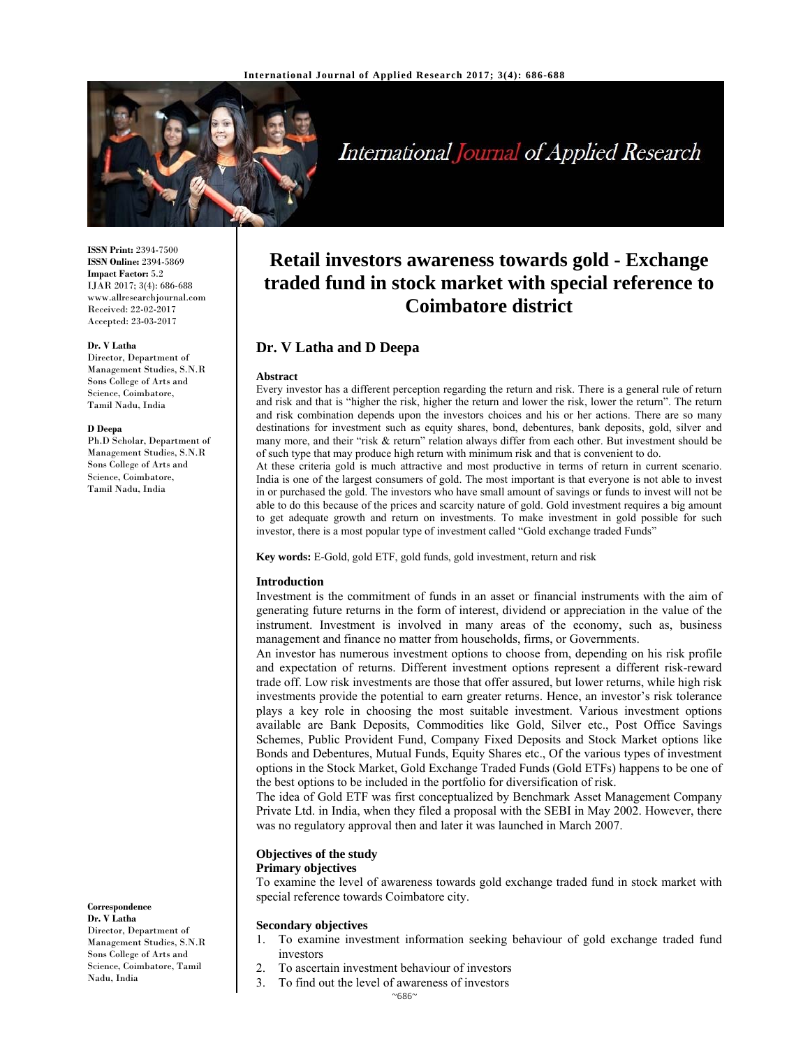

# International Journal of Applied Research

**ISSN Print:** 2394-7500 **ISSN Online:** 2394-5869 **Impact Factor:** 5.2 IJAR 2017; 3(4): 686-688 www.allresearchjournal.com Received: 22-02-2017 Accepted: 23-03-2017

#### **Dr. V Latha**

Director, Department of Management Studies, S.N.R Sons College of Arts and Science, Coimbatore, Tamil Nadu, India

#### **D Deepa**

**Correspondence Dr. V Latha** 

Nadu, India

Director, Department of Management Studies, S.N.R Sons College of Arts and Science, Coimbatore, Tamil

Ph.D Scholar, Department of Management Studies, S.N.R Sons College of Arts and Science, Coimbatore, Tamil Nadu, India

**Retail investors awareness towards gold - Exchange traded fund in stock market with special reference to Coimbatore district**

## **Dr. V Latha and D Deepa**

#### **Abstract**

Every investor has a different perception regarding the return and risk. There is a general rule of return and risk and that is "higher the risk, higher the return and lower the risk, lower the return". The return and risk combination depends upon the investors choices and his or her actions. There are so many destinations for investment such as equity shares, bond, debentures, bank deposits, gold, silver and many more, and their "risk & return" relation always differ from each other. But investment should be of such type that may produce high return with minimum risk and that is convenient to do.

At these criteria gold is much attractive and most productive in terms of return in current scenario. India is one of the largest consumers of gold. The most important is that everyone is not able to invest in or purchased the gold. The investors who have small amount of savings or funds to invest will not be able to do this because of the prices and scarcity nature of gold. Gold investment requires a big amount to get adequate growth and return on investments. To make investment in gold possible for such investor, there is a most popular type of investment called "Gold exchange traded Funds"

**Key words:** E-Gold, gold ETF, gold funds, gold investment, return and risk

#### **Introduction**

Investment is the commitment of funds in an asset or financial instruments with the aim of generating future returns in the form of interest, dividend or appreciation in the value of the instrument. Investment is involved in many areas of the economy, such as, business management and finance no matter from households, firms, or Governments.

An investor has numerous investment options to choose from, depending on his risk profile and expectation of returns. Different investment options represent a different risk-reward trade off. Low risk investments are those that offer assured, but lower returns, while high risk investments provide the potential to earn greater returns. Hence, an investor's risk tolerance plays a key role in choosing the most suitable investment. Various investment options available are Bank Deposits, Commodities like Gold, Silver etc., Post Office Savings Schemes, Public Provident Fund, Company Fixed Deposits and Stock Market options like Bonds and Debentures, Mutual Funds, Equity Shares etc., Of the various types of investment options in the Stock Market, Gold Exchange Traded Funds (Gold ETFs) happens to be one of the best options to be included in the portfolio for diversification of risk.

The idea of Gold ETF was first conceptualized by Benchmark Asset Management Company Private Ltd. in India, when they filed a proposal with the SEBI in May 2002. However, there was no regulatory approval then and later it was launched in March 2007.

## **Objectives of the study**

## **Primary objectives**

To examine the level of awareness towards gold exchange traded fund in stock market with special reference towards Coimbatore city.

#### **Secondary objectives**

- 1. To examine investment information seeking behaviour of gold exchange traded fund investors
- 2. To ascertain investment behaviour of investors
- 3. To find out the level of awareness of investors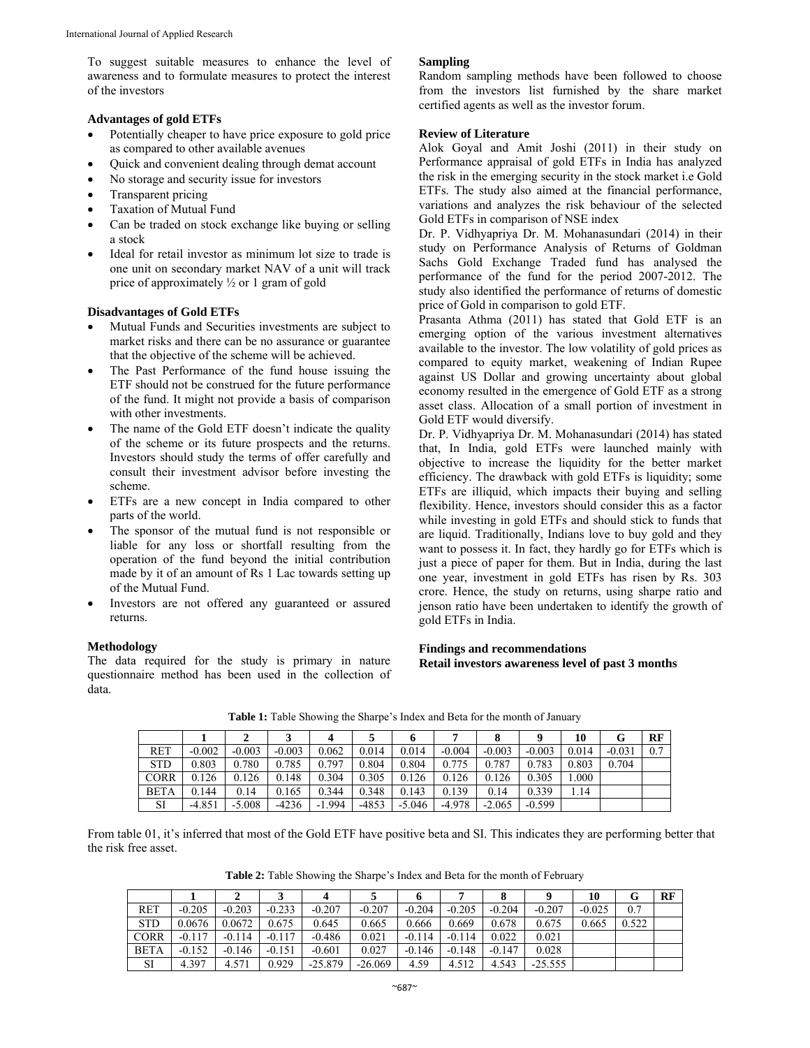To suggest suitable measures to enhance the level of awareness and to formulate measures to protect the interest of the investors

## **Advantages of gold ETFs**

- Potentially cheaper to have price exposure to gold price as compared to other available avenues
- Quick and convenient dealing through demat account
- No storage and security issue for investors
- Transparent pricing
- Taxation of Mutual Fund
- Can be traded on stock exchange like buying or selling a stock
- Ideal for retail investor as minimum lot size to trade is one unit on secondary market NAV of a unit will track price of approximately ½ or 1 gram of gold

#### **Disadvantages of Gold ETFs**

- Mutual Funds and Securities investments are subject to market risks and there can be no assurance or guarantee that the objective of the scheme will be achieved.
- The Past Performance of the fund house issuing the ETF should not be construed for the future performance of the fund. It might not provide a basis of comparison with other investments.
- The name of the Gold ETF doesn't indicate the quality of the scheme or its future prospects and the returns. Investors should study the terms of offer carefully and consult their investment advisor before investing the scheme.
- ETFs are a new concept in India compared to other parts of the world.
- The sponsor of the mutual fund is not responsible or liable for any loss or shortfall resulting from the operation of the fund beyond the initial contribution made by it of an amount of Rs 1 Lac towards setting up of the Mutual Fund.
- Investors are not offered any guaranteed or assured returns.

#### **Methodology**

The data required for the study is primary in nature questionnaire method has been used in the collection of data.

#### **Sampling**

Random sampling methods have been followed to choose from the investors list furnished by the share market certified agents as well as the investor forum.

## **Review of Literature**

Alok Goyal and Amit Joshi (2011) in their study on Performance appraisal of gold ETFs in India has analyzed the risk in the emerging security in the stock market i.e Gold ETFs. The study also aimed at the financial performance, variations and analyzes the risk behaviour of the selected Gold ETFs in comparison of NSE index

Dr. P. Vidhyapriya Dr. M. Mohanasundari (2014) in their study on Performance Analysis of Returns of Goldman Sachs Gold Exchange Traded fund has analysed the performance of the fund for the period 2007-2012. The study also identified the performance of returns of domestic price of Gold in comparison to gold ETF.

Prasanta Athma (2011) has stated that Gold ETF is an emerging option of the various investment alternatives available to the investor. The low volatility of gold prices as compared to equity market, weakening of Indian Rupee against US Dollar and growing uncertainty about global economy resulted in the emergence of Gold ETF as a strong asset class. Allocation of a small portion of investment in Gold ETF would diversify.

Dr. P. Vidhyapriya Dr. M. Mohanasundari (2014) has stated that, In India, gold ETFs were launched mainly with objective to increase the liquidity for the better market efficiency. The drawback with gold ETFs is liquidity; some ETFs are illiquid, which impacts their buying and selling flexibility. Hence, investors should consider this as a factor while investing in gold ETFs and should stick to funds that are liquid. Traditionally, Indians love to buy gold and they want to possess it. In fact, they hardly go for ETFs which is just a piece of paper for them. But in India, during the last one year, investment in gold ETFs has risen by Rs. 303 crore. Hence, the study on returns, using sharpe ratio and jenson ratio have been undertaken to identify the growth of gold ETFs in India.

#### **Findings and recommendations Retail investors awareness level of past 3 months**

|             |          |          |          |          |       | o        |          | 8        |          | 10    | G        | <b>RF</b> |
|-------------|----------|----------|----------|----------|-------|----------|----------|----------|----------|-------|----------|-----------|
| <b>RET</b>  | $-0.002$ | $-0.003$ | $-0.003$ | 0.062    | 0.014 | 0.014    | $-0.004$ | $-0.003$ | $-0.003$ | 0.014 | $-0.031$ | 0.7       |
| <b>STD</b>  | 0.803    | 0.780    | 0.785    | 0.797    | 0.804 | 0.804    | 0.775    | 0.787    | 0.783    | 0.803 | 0.704    |           |
| <b>CORR</b> | 0.126    | 0.126    | 0.148    | 0.304    | 0.305 | 0.126    | 0.126    | 0.126    | 0.305    | .000. |          |           |
| <b>BETA</b> | 0.144    | 0.14     | 0.165    | 0.344    | 0.348 | 0.143    | 0.139    | 0.14     | 0.339    | 1.14  |          |           |
| SI          | $-4.851$ | $-5.008$ | $-4236$  | $-1.994$ | -4853 | $-5.046$ | $-4.978$ | $-2.065$ | $-0.599$ |       |          |           |

**Table 1:** Table Showing the Sharpe's Index and Beta for the month of January

From table 01, it's inferred that most of the Gold ETF have positive beta and SI. This indicates they are performing better that the risk free asset.

**Table 2:** Table Showing the Sharpe's Index and Beta for the month of February

|             |          |          |          |           |           | o        |          |          |           | 10       | G     | RF |
|-------------|----------|----------|----------|-----------|-----------|----------|----------|----------|-----------|----------|-------|----|
| <b>RET</b>  | $-0.205$ | $-0.203$ | $-0.233$ | $-0.207$  | $-0.207$  | $-0.204$ | $-0.205$ | $-0.204$ | $-0.207$  | $-0.025$ | 0.7   |    |
| <b>STD</b>  | 0.0676   | 0.0672   | 0.675    | 0.645     | 0.665     | 0.666    | 0.669    | 0.678    | 0.675     | 0.665    | 0.522 |    |
| <b>CORR</b> | $-0.117$ | $-0.114$ | $-0.117$ | $-0.486$  | 0.021     | $-0.114$ | $-0.114$ | 0.022    | 0.021     |          |       |    |
| <b>BETA</b> | $-0.152$ | $-0.146$ | $-0.151$ | $-0.601$  | 0.027     | $-0.146$ | $-0.148$ | $-0.147$ | 0.028     |          |       |    |
| SI          | 4.397    | 4.571    | 0.929    | $-25.879$ | $-26.069$ | 4.59     | 4.512    | 4.543    | $-25.555$ |          |       |    |